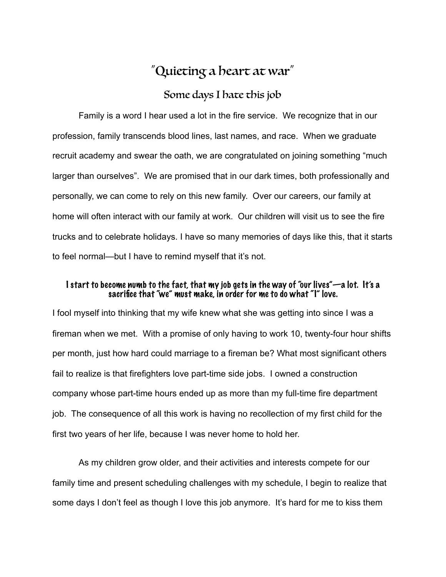# "Quieting a heart at war"

#### Some days I hate this job

 Family is a word I hear used a lot in the fire service. We recognize that in our profession, family transcends blood lines, last names, and race. When we graduate recruit academy and swear the oath, we are congratulated on joining something "much larger than ourselves". We are promised that in our dark times, both professionally and personally, we can come to rely on this new family. Over our careers, our family at home will often interact with our family at work. Our children will visit us to see the fire trucks and to celebrate holidays. I have so many memories of days like this, that it starts to feel normal—but I have to remind myself that it's not.

#### I start to become numb to the fact, that my job gets in the way of "our lives"—a lot. It's a sacrifice that "we" must make, in order for me to do what "I" love.

I fool myself into thinking that my wife knew what she was getting into since I was a fireman when we met. With a promise of only having to work 10, twenty-four hour shifts per month, just how hard could marriage to a fireman be? What most significant others fail to realize is that firefighters love part-time side jobs. I owned a construction company whose part-time hours ended up as more than my full-time fire department job. The consequence of all this work is having no recollection of my first child for the first two years of her life, because I was never home to hold her.

 As my children grow older, and their activities and interests compete for our family time and present scheduling challenges with my schedule, I begin to realize that some days I don't feel as though I love this job anymore. It's hard for me to kiss them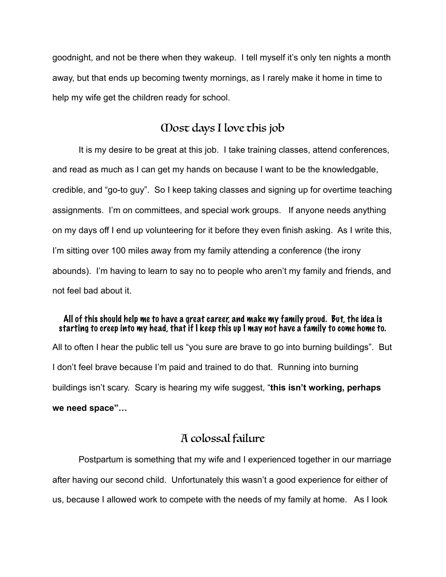goodnight, and not be there when they wakeup. I tell myself it's only ten nights a month away, but that ends up becoming twenty mornings, as I rarely make it home in time to help my wife get the children ready for school.

### Most days I love this job

 It is my desire to be great at this job. I take training classes, attend conferences, and read as much as I can get my hands on because I want to be the knowledgable, credible, and "go-to guy". So I keep taking classes and signing up for overtime teaching assignments. I'm on committees, and special work groups. If anyone needs anything on my days off I end up volunteering for it before they even finish asking. As I write this, I'm sitting over 100 miles away from my family attending a conference (the irony abounds). I'm having to learn to say no to people who aren't my family and friends, and not feel bad about it.

#### All of this should help me to have a great career, and make my family proud. But, the idea is starting to creep into my head, that if I keep this up I may not have a family to come home to.

All to often I hear the public tell us "you sure are brave to go into burning buildings". But I don't feel brave because I'm paid and trained to do that. Running into burning buildings isn't scary. Scary is hearing my wife suggest, "**this isn't working, perhaps we need space"…** 

### A colossal failure

Postpartum is something that my wife and I experienced together in our marriage after having our second child. Unfortunately this wasn't a good experience for either of us, because I allowed work to compete with the needs of my family at home. As I look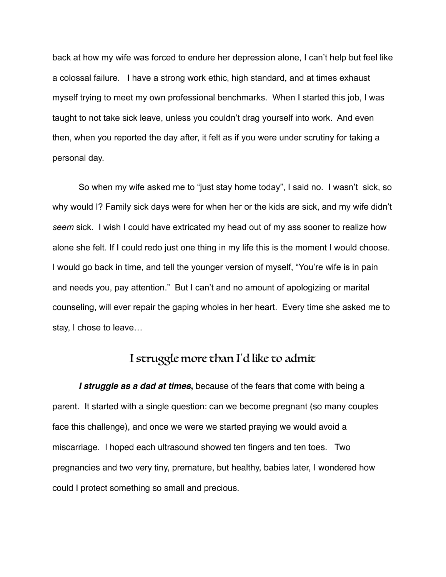back at how my wife was forced to endure her depression alone, I can't help but feel like a colossal failure. I have a strong work ethic, high standard, and at times exhaust myself trying to meet my own professional benchmarks. When I started this job, I was taught to not take sick leave, unless you couldn't drag yourself into work. And even then, when you reported the day after, it felt as if you were under scrutiny for taking a personal day.

 So when my wife asked me to "just stay home today", I said no. I wasn't sick, so why would I? Family sick days were for when her or the kids are sick, and my wife didn't *seem* sick. I wish I could have extricated my head out of my ass sooner to realize how alone she felt. If I could redo just one thing in my life this is the moment I would choose. I would go back in time, and tell the younger version of myself, "You're wife is in pain and needs you, pay attention." But I can't and no amount of apologizing or marital counseling, will ever repair the gaping wholes in her heart. Every time she asked me to stay, I chose to leave…

### I struggle more than I'd like to admit

*I struggle as a dad at times***,** because of the fears that come with being a parent. It started with a single question: can we become pregnant (so many couples face this challenge), and once we were we started praying we would avoid a miscarriage. I hoped each ultrasound showed ten fingers and ten toes. Two pregnancies and two very tiny, premature, but healthy, babies later, I wondered how could I protect something so small and precious.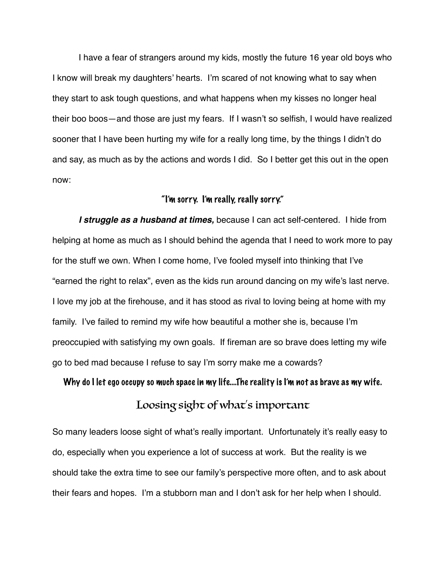I have a fear of strangers around my kids, mostly the future 16 year old boys who I know will break my daughters' hearts. I'm scared of not knowing what to say when they start to ask tough questions, and what happens when my kisses no longer heal their boo boos—and those are just my fears. If I wasn't so selfish, I would have realized sooner that I have been hurting my wife for a really long time, by the things I didn't do and say, as much as by the actions and words I did. So I better get this out in the open now:

#### "I'm sorry. I'm really, really sorry."

*I struggle as a husband at times,* because I can act self-centered. I hide from helping at home as much as I should behind the agenda that I need to work more to pay for the stuff we own. When I come home, I've fooled myself into thinking that I've "earned the right to relax", even as the kids run around dancing on my wife's last nerve. I love my job at the firehouse, and it has stood as rival to loving being at home with my family. I've failed to remind my wife how beautiful a mother she is, because I'm preoccupied with satisfying my own goals. If fireman are so brave does letting my wife go to bed mad because I refuse to say I'm sorry make me a cowards?

Why do I let ego occupy so much space in my life….The reality is I'm not as brave as my wife.

## Loosing sight of what's important

So many leaders loose sight of what's really important. Unfortunately it's really easy to do, especially when you experience a lot of success at work. But the reality is we should take the extra time to see our family's perspective more often, and to ask about their fears and hopes. I'm a stubborn man and I don't ask for her help when I should.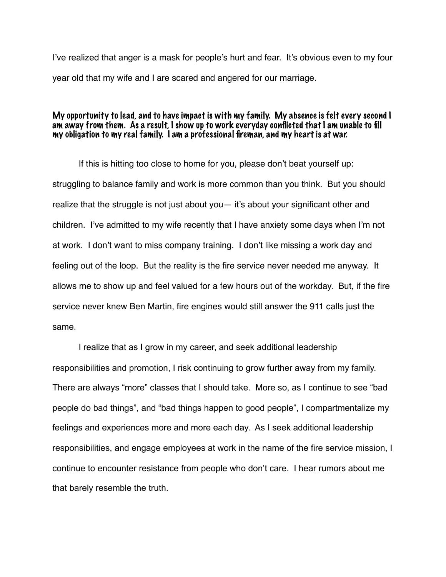I've realized that anger is a mask for people's hurt and fear. It's obvious even to my four year old that my wife and I are scared and angered for our marriage.

#### My opportunity to lead, and to have impact is with my family. My absence is felt every second I am away from them. As a result, I show up to work everyday conflicted that I am unable to fill my obligation to my real family. I am a professional fireman, and my heart is at war.

If this is hitting too close to home for you, please don't beat yourself up: struggling to balance family and work is more common than you think. But you should realize that the struggle is not just about you— it's about your significant other and children. I've admitted to my wife recently that I have anxiety some days when I'm not at work. I don't want to miss company training. I don't like missing a work day and feeling out of the loop. But the reality is the fire service never needed me anyway. It allows me to show up and feel valued for a few hours out of the workday. But, if the fire service never knew Ben Martin, fire engines would still answer the 911 calls just the same.

 I realize that as I grow in my career, and seek additional leadership responsibilities and promotion, I risk continuing to grow further away from my family. There are always "more" classes that I should take. More so, as I continue to see "bad people do bad things", and "bad things happen to good people", I compartmentalize my feelings and experiences more and more each day. As I seek additional leadership responsibilities, and engage employees at work in the name of the fire service mission, I continue to encounter resistance from people who don't care. I hear rumors about me that barely resemble the truth.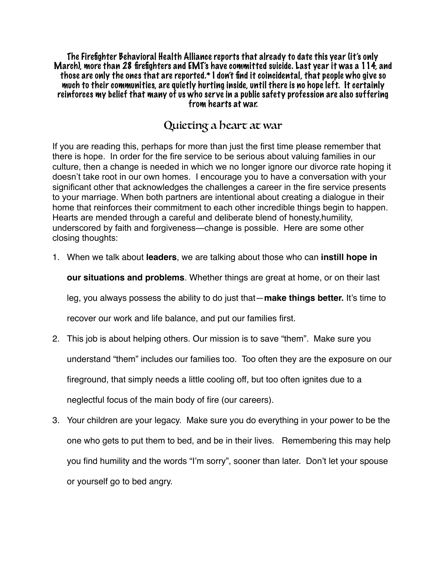The Firefighter Behavioral Health Alliance reports that already to date this year (it's only March), more than 28 firefighters and EMT's have committed suicide. Last year it was a 114, and those are only the ones that are reported.\* I don't find it coincidental, that people who give so much to their communities, are quietly hurting inside, until there is no hope left. It certainly reinforces my belief that many of us who serve in a public safety profession are also suffering from hearts at war.

## Quieting a heart at war

If you are reading this, perhaps for more than just the first time please remember that there is hope. In order for the fire service to be serious about valuing families in our culture, then a change is needed in which we no longer ignore our divorce rate hoping it doesn't take root in our own homes. I encourage you to have a conversation with your significant other that acknowledges the challenges a career in the fire service presents to your marriage. When both partners are intentional about creating a dialogue in their home that reinforces their commitment to each other incredible things begin to happen. Hearts are mended through a careful and deliberate blend of honesty,humility, underscored by faith and forgiveness—change is possible. Here are some other closing thoughts:

1. When we talk about **leaders**, we are talking about those who can **instill hope in** 

**our situations and problems**. Whether things are great at home, or on their last

leg, you always possess the ability to do just that—**make things better.** It's time to

recover our work and life balance, and put our families first.

2. This job is about helping others. Our mission is to save "them". Make sure you

understand "them" includes our families too. Too often they are the exposure on our

fireground, that simply needs a little cooling off, but too often ignites due to a

neglectful focus of the main body of fire (our careers).

3. Your children are your legacy. Make sure you do everything in your power to be the one who gets to put them to bed, and be in their lives. Remembering this may help you find humility and the words "I'm sorry", sooner than later. Don't let your spouse or yourself go to bed angry.